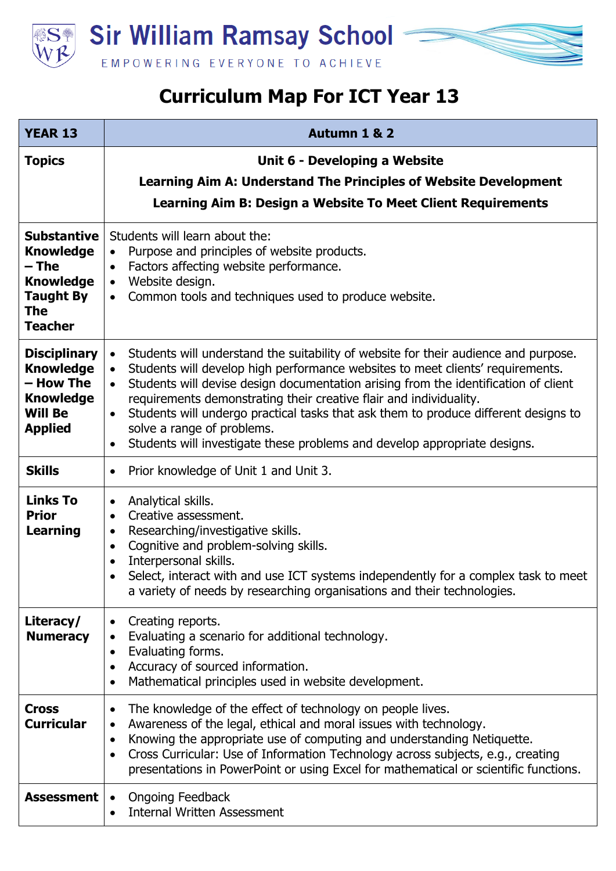

**Sir William Ramsay School** EMPOWERING EVERYONE TO ACHIEVE

## **Curriculum Map For ICT Year 13**

| <b>YEAR 13</b>                                                                                                     | Autumn 1 & 2                                                                                                                                                                                                                                                                                                                                                                                                                                                                                                                                                                                          |
|--------------------------------------------------------------------------------------------------------------------|-------------------------------------------------------------------------------------------------------------------------------------------------------------------------------------------------------------------------------------------------------------------------------------------------------------------------------------------------------------------------------------------------------------------------------------------------------------------------------------------------------------------------------------------------------------------------------------------------------|
| <b>Topics</b>                                                                                                      | Unit 6 - Developing a Website<br><b>Learning Aim A: Understand The Principles of Website Development</b><br>Learning Aim B: Design a Website To Meet Client Requirements                                                                                                                                                                                                                                                                                                                                                                                                                              |
| <b>Substantive</b><br><b>Knowledge</b><br>$-$ The<br><b>Knowledge</b><br><b>Taught By</b><br>The<br><b>Teacher</b> | Students will learn about the:<br>Purpose and principles of website products.<br>$\bullet$<br>Factors affecting website performance.<br>Website design.<br>$\bullet$<br>Common tools and techniques used to produce website.<br>$\bullet$                                                                                                                                                                                                                                                                                                                                                             |
| <b>Disciplinary</b><br><b>Knowledge</b><br>- How The<br><b>Knowledge</b><br><b>Will Be</b><br><b>Applied</b>       | Students will understand the suitability of website for their audience and purpose.<br>$\bullet$<br>Students will develop high performance websites to meet clients' requirements.<br>$\bullet$<br>Students will devise design documentation arising from the identification of client<br>$\bullet$<br>requirements demonstrating their creative flair and individuality.<br>Students will undergo practical tasks that ask them to produce different designs to<br>$\bullet$<br>solve a range of problems.<br>Students will investigate these problems and develop appropriate designs.<br>$\bullet$ |
| <b>Skills</b>                                                                                                      | Prior knowledge of Unit 1 and Unit 3.<br>$\bullet$                                                                                                                                                                                                                                                                                                                                                                                                                                                                                                                                                    |
| <b>Links To</b><br><b>Prior</b><br>Learning                                                                        | Analytical skills.<br>$\bullet$<br>Creative assessment.<br>$\bullet$<br>Researching/investigative skills.<br>$\bullet$<br>Cognitive and problem-solving skills.<br>$\bullet$<br>Interpersonal skills.<br>Select, interact with and use ICT systems independently for a complex task to meet<br>a variety of needs by researching organisations and their technologies.                                                                                                                                                                                                                                |
| Literacy/<br><b>Numeracy</b>                                                                                       | Creating reports.<br>Evaluating a scenario for additional technology.<br>$\bullet$<br>Evaluating forms.<br>$\bullet$<br>Accuracy of sourced information.<br>Mathematical principles used in website development.                                                                                                                                                                                                                                                                                                                                                                                      |
| <b>Cross</b><br><b>Curricular</b>                                                                                  | The knowledge of the effect of technology on people lives.<br>$\bullet$<br>Awareness of the legal, ethical and moral issues with technology.<br>$\bullet$<br>Knowing the appropriate use of computing and understanding Netiquette.<br>$\bullet$<br>Cross Curricular: Use of Information Technology across subjects, e.g., creating<br>$\bullet$<br>presentations in PowerPoint or using Excel for mathematical or scientific functions.                                                                                                                                                              |
| <b>Assessment</b>                                                                                                  | <b>Ongoing Feedback</b><br>$\bullet$<br><b>Internal Written Assessment</b>                                                                                                                                                                                                                                                                                                                                                                                                                                                                                                                            |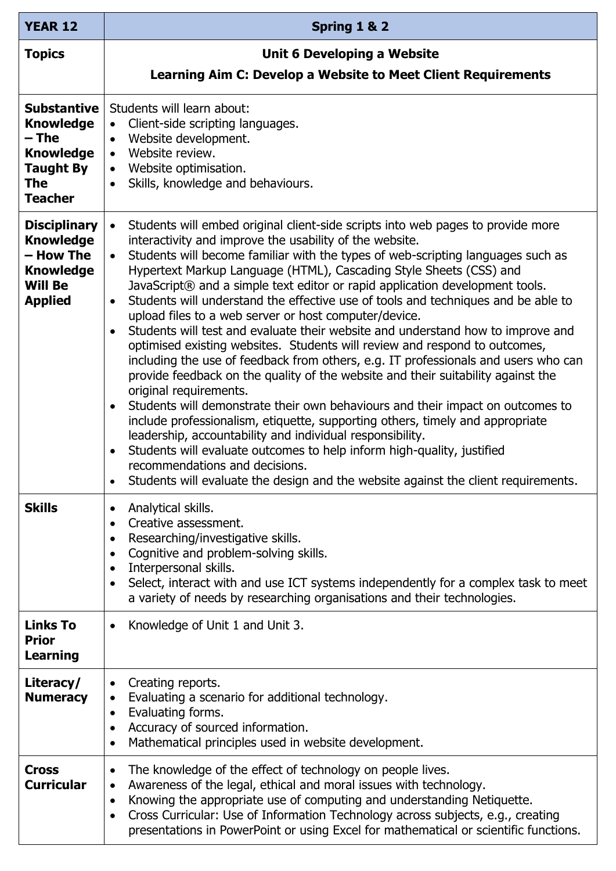| <b>YEAR 12</b>                                                                                                          | Spring 1 & 2                                                                                                                                                                                                                                                                                                                                                                                                                                                                                                                                                                                                                                                                                                                                                                                                                                                                                                                                                                                                                                                                                                                                                                                                                                                                                                                                                                                 |
|-------------------------------------------------------------------------------------------------------------------------|----------------------------------------------------------------------------------------------------------------------------------------------------------------------------------------------------------------------------------------------------------------------------------------------------------------------------------------------------------------------------------------------------------------------------------------------------------------------------------------------------------------------------------------------------------------------------------------------------------------------------------------------------------------------------------------------------------------------------------------------------------------------------------------------------------------------------------------------------------------------------------------------------------------------------------------------------------------------------------------------------------------------------------------------------------------------------------------------------------------------------------------------------------------------------------------------------------------------------------------------------------------------------------------------------------------------------------------------------------------------------------------------|
| <b>Topics</b>                                                                                                           | Unit 6 Developing a Website                                                                                                                                                                                                                                                                                                                                                                                                                                                                                                                                                                                                                                                                                                                                                                                                                                                                                                                                                                                                                                                                                                                                                                                                                                                                                                                                                                  |
|                                                                                                                         | Learning Aim C: Develop a Website to Meet Client Requirements                                                                                                                                                                                                                                                                                                                                                                                                                                                                                                                                                                                                                                                                                                                                                                                                                                                                                                                                                                                                                                                                                                                                                                                                                                                                                                                                |
| <b>Substantive</b><br><b>Knowledge</b><br>– The<br><b>Knowledge</b><br><b>Taught By</b><br><b>The</b><br><b>Teacher</b> | Students will learn about:<br>Client-side scripting languages.<br>Website development.<br>$\bullet$<br>Website review.<br>$\bullet$<br>• Website optimisation.<br>Skills, knowledge and behaviours.<br>$\bullet$                                                                                                                                                                                                                                                                                                                                                                                                                                                                                                                                                                                                                                                                                                                                                                                                                                                                                                                                                                                                                                                                                                                                                                             |
| <b>Disciplinary</b><br><b>Knowledge</b><br>– How The<br><b>Knowledge</b><br><b>Will Be</b><br><b>Applied</b>            | Students will embed original client-side scripts into web pages to provide more<br>$\bullet$<br>interactivity and improve the usability of the website.<br>Students will become familiar with the types of web-scripting languages such as<br>$\bullet$<br>Hypertext Markup Language (HTML), Cascading Style Sheets (CSS) and<br>JavaScript® and a simple text editor or rapid application development tools.<br>Students will understand the effective use of tools and techniques and be able to<br>upload files to a web server or host computer/device.<br>Students will test and evaluate their website and understand how to improve and<br>$\bullet$<br>optimised existing websites. Students will review and respond to outcomes,<br>including the use of feedback from others, e.g. IT professionals and users who can<br>provide feedback on the quality of the website and their suitability against the<br>original requirements.<br>Students will demonstrate their own behaviours and their impact on outcomes to<br>$\bullet$<br>include professionalism, etiquette, supporting others, timely and appropriate<br>leadership, accountability and individual responsibility.<br>Students will evaluate outcomes to help inform high-quality, justified<br>recommendations and decisions.<br>Students will evaluate the design and the website against the client requirements. |
| <b>Skills</b>                                                                                                           | Analytical skills.<br>٠<br>Creative assessment.<br>$\bullet$<br>Researching/investigative skills.<br>$\bullet$<br>Cognitive and problem-solving skills.<br>$\bullet$<br>Interpersonal skills.<br>$\bullet$<br>Select, interact with and use ICT systems independently for a complex task to meet<br>$\bullet$<br>a variety of needs by researching organisations and their technologies.                                                                                                                                                                                                                                                                                                                                                                                                                                                                                                                                                                                                                                                                                                                                                                                                                                                                                                                                                                                                     |
| <b>Links To</b><br><b>Prior</b><br><b>Learning</b>                                                                      | Knowledge of Unit 1 and Unit 3.<br>٠                                                                                                                                                                                                                                                                                                                                                                                                                                                                                                                                                                                                                                                                                                                                                                                                                                                                                                                                                                                                                                                                                                                                                                                                                                                                                                                                                         |
| Literacy/<br><b>Numeracy</b>                                                                                            | Creating reports.<br>$\bullet$<br>Evaluating a scenario for additional technology.<br>Evaluating forms.<br>$\bullet$<br>Accuracy of sourced information.<br>$\bullet$<br>Mathematical principles used in website development.                                                                                                                                                                                                                                                                                                                                                                                                                                                                                                                                                                                                                                                                                                                                                                                                                                                                                                                                                                                                                                                                                                                                                                |
| <b>Cross</b><br><b>Curricular</b>                                                                                       | The knowledge of the effect of technology on people lives.<br>$\bullet$<br>Awareness of the legal, ethical and moral issues with technology.<br>$\bullet$<br>Knowing the appropriate use of computing and understanding Netiquette.<br>$\bullet$<br>Cross Curricular: Use of Information Technology across subjects, e.g., creating<br>$\bullet$<br>presentations in PowerPoint or using Excel for mathematical or scientific functions.                                                                                                                                                                                                                                                                                                                                                                                                                                                                                                                                                                                                                                                                                                                                                                                                                                                                                                                                                     |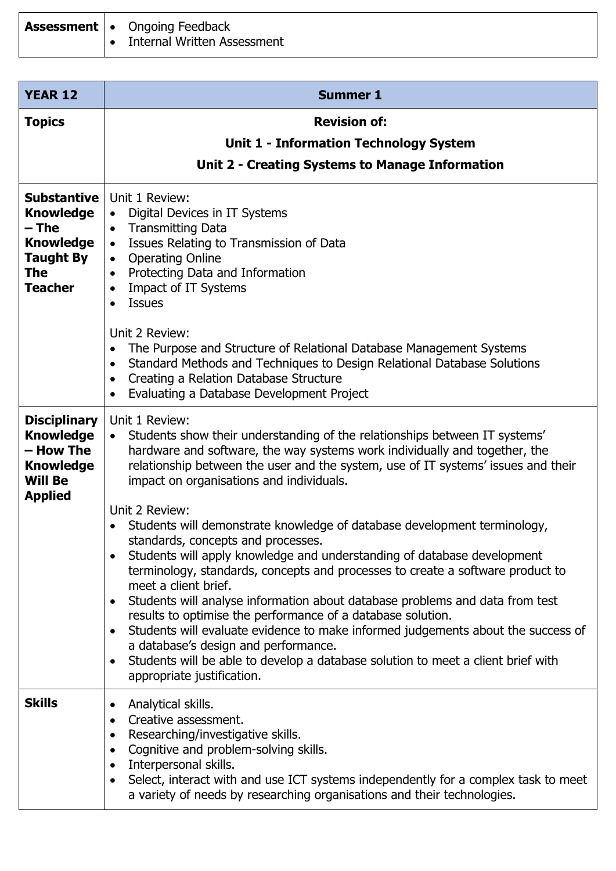|  | <b>Assessment   •</b> Ongoing Feedback |
|--|----------------------------------------|
|  | • Internal Written Assessment          |

| <b>YEAR 12</b>                                                                                               | <b>Summer 1</b>                                                                                                                                                                                                                                                                                                                                                                                                                                                                                                                                                                                                                                                                                                                                   |
|--------------------------------------------------------------------------------------------------------------|---------------------------------------------------------------------------------------------------------------------------------------------------------------------------------------------------------------------------------------------------------------------------------------------------------------------------------------------------------------------------------------------------------------------------------------------------------------------------------------------------------------------------------------------------------------------------------------------------------------------------------------------------------------------------------------------------------------------------------------------------|
| <b>Topics</b>                                                                                                | <b>Revision of:</b>                                                                                                                                                                                                                                                                                                                                                                                                                                                                                                                                                                                                                                                                                                                               |
|                                                                                                              | <b>Unit 1 - Information Technology System</b>                                                                                                                                                                                                                                                                                                                                                                                                                                                                                                                                                                                                                                                                                                     |
|                                                                                                              | Unit 2 - Creating Systems to Manage Information                                                                                                                                                                                                                                                                                                                                                                                                                                                                                                                                                                                                                                                                                                   |
| <b>Substantive</b><br><b>Knowledge</b><br>– The<br><b>Knowledge</b><br>Taught By<br>The<br><b>Teacher</b>    | Unit 1 Review:<br>Digital Devices in IT Systems<br>$\bullet$<br><b>Transmitting Data</b><br>$\bullet$<br>Issues Relating to Transmission of Data<br>$\bullet$<br><b>Operating Online</b><br>$\bullet$<br>Protecting Data and Information<br>$\bullet$<br>Impact of IT Systems<br>$\bullet$<br><b>Issues</b>                                                                                                                                                                                                                                                                                                                                                                                                                                       |
|                                                                                                              | Unit 2 Review:<br>The Purpose and Structure of Relational Database Management Systems<br>$\bullet$<br>Standard Methods and Techniques to Design Relational Database Solutions<br>$\bullet$<br>Creating a Relation Database Structure<br>$\bullet$<br>Evaluating a Database Development Project<br>$\bullet$                                                                                                                                                                                                                                                                                                                                                                                                                                       |
| <b>Disciplinary</b><br><b>Knowledge</b><br>– How The<br><b>Knowledge</b><br><b>Will Be</b><br><b>Applied</b> | Unit 1 Review:<br>Students show their understanding of the relationships between IT systems'<br>$\bullet$<br>hardware and software, the way systems work individually and together, the<br>relationship between the user and the system, use of IT systems' issues and their<br>impact on organisations and individuals.                                                                                                                                                                                                                                                                                                                                                                                                                          |
|                                                                                                              | Unit 2 Review:<br>Students will demonstrate knowledge of database development terminology,<br>standards, concepts and processes.<br>Students will apply knowledge and understanding of database development<br>terminology, standards, concepts and processes to create a software product to<br>meet a client brief.<br>Students will analyse information about database problems and data from test<br>٠<br>results to optimise the performance of a database solution.<br>Students will evaluate evidence to make informed judgements about the success of<br>$\bullet$<br>a database's design and performance.<br>Students will be able to develop a database solution to meet a client brief with<br>$\bullet$<br>appropriate justification. |
| <b>Skills</b>                                                                                                | Analytical skills.<br>$\bullet$<br>Creative assessment.<br>$\bullet$<br>Researching/investigative skills.<br>$\bullet$<br>Cognitive and problem-solving skills.<br>$\bullet$<br>Interpersonal skills.<br>$\bullet$<br>Select, interact with and use ICT systems independently for a complex task to meet<br>$\bullet$<br>a variety of needs by researching organisations and their technologies.                                                                                                                                                                                                                                                                                                                                                  |